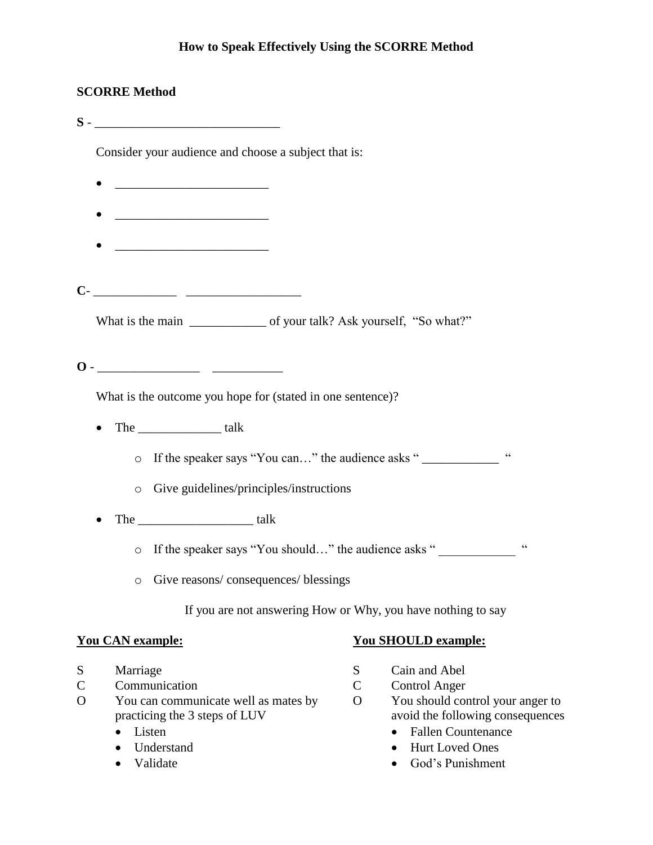#### **How to Speak Effectively Using the SCORRE Method**

#### **SCORRE Method**

**S** - \_\_\_\_\_\_\_\_\_\_\_\_\_\_\_\_\_\_\_\_\_\_\_\_\_\_\_\_\_

Consider your audience and choose a subject that is:

- $\bullet$   $\qquad \qquad$
- \_\_\_\_\_\_\_\_\_\_\_\_\_\_\_\_\_\_\_\_\_\_\_\_
- $\frac{1}{2}$  ,  $\frac{1}{2}$  ,  $\frac{1}{2}$  ,  $\frac{1}{2}$  ,  $\frac{1}{2}$  ,  $\frac{1}{2}$  ,  $\frac{1}{2}$  ,  $\frac{1}{2}$  ,  $\frac{1}{2}$  ,  $\frac{1}{2}$  ,  $\frac{1}{2}$  ,  $\frac{1}{2}$  ,  $\frac{1}{2}$  ,  $\frac{1}{2}$  ,  $\frac{1}{2}$  ,  $\frac{1}{2}$  ,  $\frac{1}{2}$  ,  $\frac{1}{2}$  ,  $\frac{1$

**C**- \_\_\_\_\_\_\_\_\_\_\_\_\_ \_\_\_\_\_\_\_\_\_\_\_\_\_\_\_\_\_\_

What is the main \_\_\_\_\_\_\_\_\_\_\_\_\_\_\_ of your talk? Ask yourself, "So what?"

**O** - \_\_\_\_\_\_\_\_\_\_\_\_\_\_\_\_ \_\_\_\_\_\_\_\_\_\_\_

What is the outcome you hope for (stated in one sentence)?

 $\bullet$  The  $\qquad$  talk

o If the speaker says "You can…" the audience asks " \_\_\_\_\_\_\_\_\_\_\_\_ "

- o Give guidelines/principles/instructions
- The \_\_\_\_\_\_\_\_\_\_\_\_\_\_\_\_\_\_ talk

o If the speaker says "You should..." the audience asks "

o Give reasons/ consequences/ blessings

If you are not answering How or Why, you have nothing to say

#### **You CAN example:**

- S Marriage
- C Communication
- O You can communicate well as mates by practicing the 3 steps of LUV
	- Listen
	- Understand
	- Validate

#### **You SHOULD example:**

- S Cain and Abel
- C Control Anger
- O You should control your anger to avoid the following consequences
	- Fallen Countenance
	- Hurt Loved Ones
	- God's Punishment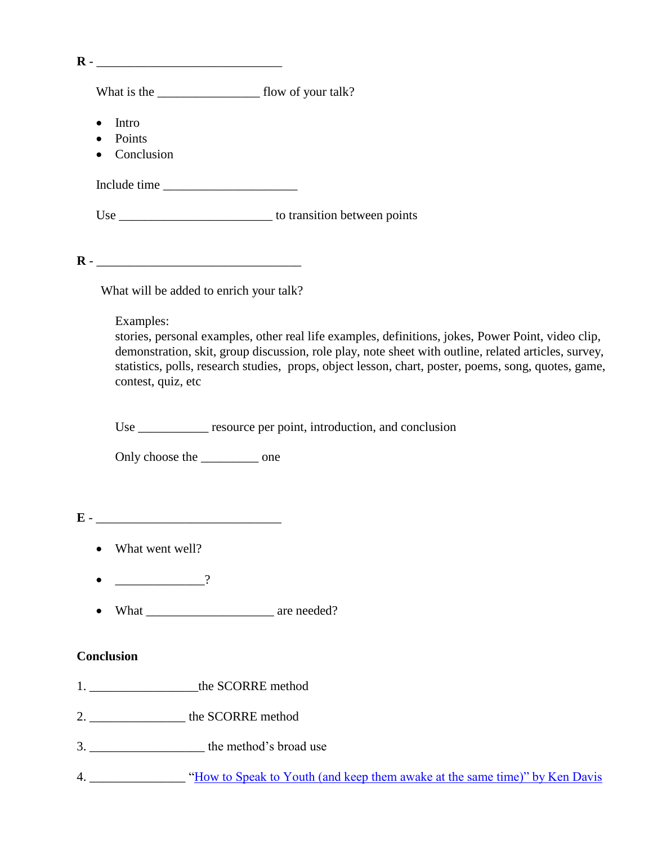| Intro<br>$\bullet$<br>Points<br>$\bullet$<br>Conclusion                                                                                                                                                                                                                                                                                               |
|-------------------------------------------------------------------------------------------------------------------------------------------------------------------------------------------------------------------------------------------------------------------------------------------------------------------------------------------------------|
| Include time                                                                                                                                                                                                                                                                                                                                          |
|                                                                                                                                                                                                                                                                                                                                                       |
|                                                                                                                                                                                                                                                                                                                                                       |
| What will be added to enrich your talk?                                                                                                                                                                                                                                                                                                               |
| Examples:<br>stories, personal examples, other real life examples, definitions, jokes, Power Point, video clip,<br>demonstration, skit, group discussion, role play, note sheet with outline, related articles, survey,<br>statistics, polls, research studies, props, object lesson, chart, poster, poems, song, quotes, game,<br>contest, quiz, etc |
| Use _____________ resource per point, introduction, and conclusion                                                                                                                                                                                                                                                                                    |
| Only choose the ___________ one                                                                                                                                                                                                                                                                                                                       |
|                                                                                                                                                                                                                                                                                                                                                       |
| What went well?                                                                                                                                                                                                                                                                                                                                       |
| $\overline{\phantom{a}}$ ?                                                                                                                                                                                                                                                                                                                            |
|                                                                                                                                                                                                                                                                                                                                                       |
| <b>Conclusion</b>                                                                                                                                                                                                                                                                                                                                     |
| 1. _____________________the SCORRE method                                                                                                                                                                                                                                                                                                             |
| 2. __________________ the SCORRE method                                                                                                                                                                                                                                                                                                               |
|                                                                                                                                                                                                                                                                                                                                                       |
|                                                                                                                                                                                                                                                                                                                                                       |